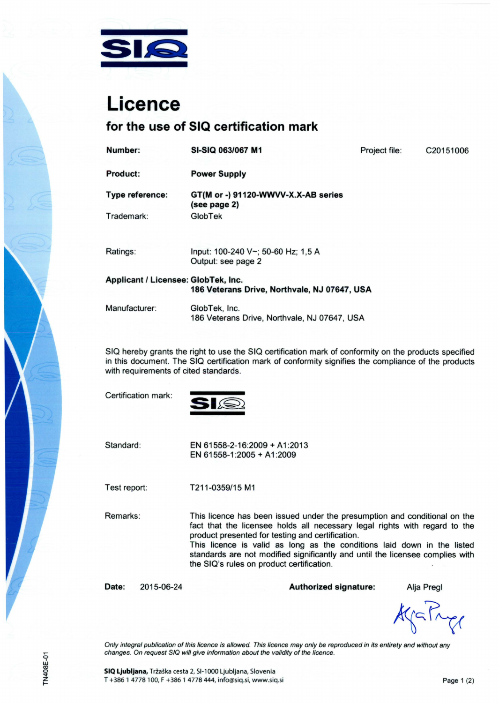

# **Licence**

### for the use of SIQ certification mark

| Number:                             | SI-SIQ 063/067 M1                                        | Project file: | C20151006 |
|-------------------------------------|----------------------------------------------------------|---------------|-----------|
| Product:                            | <b>Power Supply</b>                                      |               |           |
| Type reference:                     | GT(M or -) 91120-WWVV-X.X-AB series<br>(see page 2)      |               |           |
| Trademark:                          | GlobTek                                                  |               |           |
|                                     |                                                          |               |           |
| Ratings:                            | Input: 100-240 V~; 50-60 Hz; 1,5 A<br>Output: see page 2 |               |           |
| Applicant / Licensee: GlobTek, Inc. | 186 Veterans Drive, Northvale, NJ 07647, USA             |               |           |
|                                     |                                                          |               |           |
| Manufacturer:                       | GlobTek, Inc.                                            |               |           |
|                                     | 186 Veterans Drive, Northvale, NJ 07647, USA             |               |           |

SIQ hereby grants the right to use the SIQ certification mark of conformity on the products specified in this document. The SIQ certification mark of conformity signifies the compliance of the products with requirements of cited standards.

Certification mark:



Standard:

EN 61558-2-16:2009 + A1 :2013 EN 61558-1 :2005 + A 1 :2009

Test report:

T211-0359/15 M1

Remarks:

This licence has been issued under the presumption and conditional on the fact that the licensee holds all necessary legal rights with regard to the product presented for testing and certification.

This licence is valid as long as the conditions laid down in the listed standards are not modified significantly and until the licensee complies with the SIQ's rules on product certification.

Date: 2015-06-24

Authorized signature: Alja Pregl

AgaPry

Only integral publication of this licence is allowed. This licence may only be reproduced in its entirety and without any changes. On request SIQ will give information about the validity of the licence.